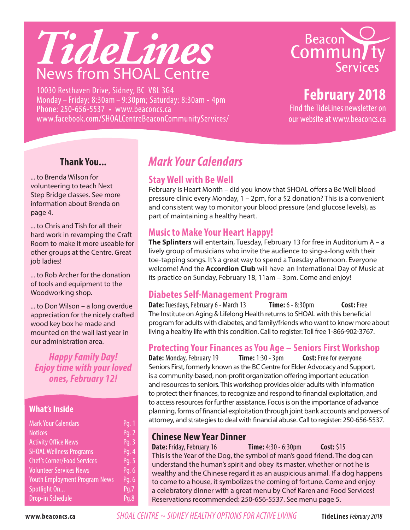

10030 Resthaven Drive, Sidney, BC V8L 3G4 Monday – Friday: 8:30am – 9:30pm; Saturday: 8:30am - 4pm Phone: 250-656-5537 • www.beaconcs.ca www.facebook.com/SHOALCentreBeaconCommunityServices/



# **February 2018**

Find the TideLines newsletter on our website at www.beaconcs.ca

#### **Thank You...**

... to Brenda Wilson for volunteering to teach Next Step Bridge classes. See more information about Brenda on page 4.

... to Chris and Tish for all their hard work in revamping the Craft Room to make it more useable for other groups at the Centre. Great job ladies!

... to Rob Archer for the donation of tools and equipment to the Woodworking shop.

... to Don Wilson – a long overdue appreciation for the nicely crafted wood key box he made and mounted on the wall last year in our administration area.

*Happy Family Day! Enjoy time with your loved ones, February 12!*

#### **What's Inside**

| <b>Mark Your Calendars</b>           | Pg. 1 |
|--------------------------------------|-------|
| <b>Notices</b>                       | Pg. 2 |
| <b>Activity Office News</b>          | Pq. 3 |
| <b>SHOAL Wellness Programs</b>       | Pg. 4 |
| <b>Chef's Corner/Food Services</b>   | Pg. 5 |
| <b>Volunteer Services News</b>       | Pg. 6 |
| <b>Youth Employment Program News</b> | Pq. 6 |
| Spotlight On                         | Pq.7  |
| <b>Drop-in Schedule</b>              | Pq.8  |

# *Mark Your Calendars*

#### **Stay Well with Be Well**

February is Heart Month – did you know that SHOAL offers a Be Well blood pressure clinic every Monday, 1 – 2pm, for a \$2 donation? This is a convenient and consistent way to monitor your blood pressure (and glucose levels), as part of maintaining a healthy heart.

#### **Music to Make Your Heart Happy!**

**The Splinters** will entertain, Tuesday, February 13 for free in Auditorium A – a lively group of musicians who invite the audience to sing-a-long with their toe-tapping songs. It's a great way to spend a Tuesday afternoon. Everyone welcome! And the **Accordion Club** will have an International Day of Music at its practice on Sunday, February 18, 11am – 3pm. Come and enjoy!

#### **Diabetes Self-Management Program**

**Date:** Tuesdays, February 6 - March 13 **Time:** 6 - 8:30pm **Cost:** Free The Institute on Aging & Lifelong Health returns to SHOAL with this beneficial program for adults with diabetes, and family/friends who want to know more about living a healthy life with this condition. Call to register: Toll free 1-866-902-3767.

#### **Protecting Your Finances as You Age – Seniors First Workshop**

**Date:** Monday, February 19 **Time:** 1:30 - 3pm **Cost:** Free for everyone Seniors First, formerly known as the BC Centre for Elder Advocacy and Support, is a community-based, non-profit organization offering important education and resources to seniors. This workshop provides older adults with information to protect their finances, to recognize and respond to financial exploitation, and to access resources for further assistance. Focus is on the importance of advance planning, forms of financial exploitation through joint bank accounts and powers of attorney, and strategies to deal with financial abuse. Call to register: 250-656-5537.

#### **Chinese New Year Dinner**

**Date:** Friday, February 16 **Time:** 4:30 - 6:30pm **Cost:** \$15 This is the Year of the Dog, the symbol of man's good friend. The dog can understand the human's spirit and obey its master, whether or not he is wealthy and the Chinese regard it as an auspicious animal. If a dog happens to come to a house, it symbolizes the coming of fortune. Come and enjoy a celebratory dinner with a great menu by Chef Karen and Food Services! Reservations recommended: 250-656-5537. See menu page 5.

**www.beaconcs.ca** *SHOAL CENTRE ~ SIDNEY HEALTHY OPTIONS FOR ACTIVE LIVING* **TideLines** February 2018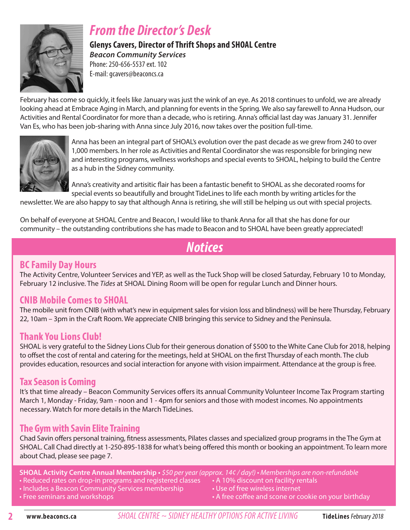

# *From the Director's Desk*

**Glenys Cavers, Director of Thrift Shops and SHOAL Centre**  *Beacon Community Services* Phone: 250-656-5537 ext. 102

E-mail: gcavers@beaconcs.ca

February has come so quickly, it feels like January was just the wink of an eye. As 2018 continues to unfold, we are already looking ahead at Embrace Aging in March, and planning for events in the Spring. We also say farewell to Anna Hudson, our Activities and Rental Coordinator for more than a decade, who is retiring. Anna's official last day was January 31. Jennifer Van Es, who has been job-sharing with Anna since July 2016, now takes over the position full-time.



Anna has been an integral part of SHOAL's evolution over the past decade as we grew from 240 to over 1,000 members. In her role as Activities and Rental Coordinator she was responsible for bringing new and interesting programs, wellness workshops and special events to SHOAL, helping to build the Centre as a hub in the Sidney community.

Anna's creativity and artisitic flair has been a fantastic benefit to SHOAL as she decorated rooms for special events so beautifully and brought TideLines to life each month by writing articles for the

newsletter. We are also happy to say that although Anna is retiring, she will still be helping us out with special projects.

On behalf of everyone at SHOAL Centre and Beacon, I would like to thank Anna for all that she has done for our community – the outstanding contributions she has made to Beacon and to SHOAL have been greatly appreciated!

# *Notices*

#### **BC Family Day Hours**

The Activity Centre, Volunteer Services and YEP, as well as the Tuck Shop will be closed Saturday, February 10 to Monday, February 12 inclusive. The *Tides* at SHOAL Dining Room will be open for regular Lunch and Dinner hours.

#### **CNIB Mobile Comes to SHOAL**

The mobile unit from CNIB (with what's new in equipment sales for vision loss and blindness) will be here Thursday, February 22, 10am – 3pm in the Craft Room. We appreciate CNIB bringing this service to Sidney and the Peninsula.

#### **Thank You Lions Club!**

SHOAL is very grateful to the Sidney Lions Club for their generous donation of \$500 to the White Cane Club for 2018, helping to offset the cost of rental and catering for the meetings, held at SHOAL on the first Thursday of each month. The club provides education, resources and social interaction for anyone with vision impairment. Attendance at the group is free.

#### **Tax Season is Coming**

It's that time already – Beacon Community Services offers its annual Community Volunteer Income Tax Program starting March 1, Monday - Friday, 9am - noon and 1 - 4pm for seniors and those with modest incomes. No appointments necessary. Watch for more details in the March TideLines.

#### **The Gym with Savin Elite Training**

Chad Savin offers personal training, fitness assessments, Pilates classes and specialized group programs in the The Gym at SHOAL. Call Chad directly at 1-250-895-1838 for what's being offered this month or booking an appointment. To learn more about Chad, please see page 7.

- **SHOAL Activity Centre Annual Membership** \$50 per year (approx. 14¢ / day!) Memberships are non-refundable
- Reduced rates on drop-in programs and registered classes A 10% discount on facility rentals
- Includes a Beacon Community Services membership Use of free wireless internet
- 
- 
- 
- Free seminars and workshops  **A free coffee and scone or cookie on your birthday** A free coffee and scone or cookie on your birthday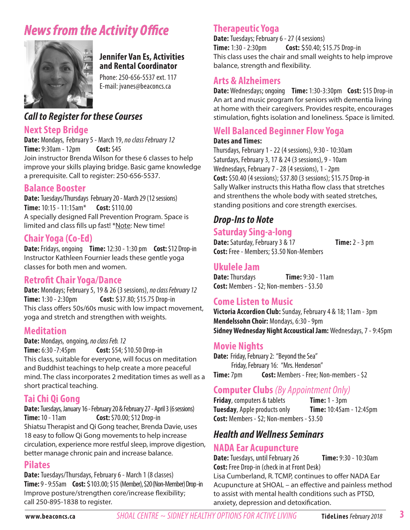# *News from the Activity Office*



#### **Jennifer Van Es, Activities and Rental Coordinator**

Phone: 250-656-5537 ext. 117 E-mail: jvanes@beaconcs.ca

## *Call to Register for these Courses*

#### **Next Step Bridge**

**Date:** Mondays, February 5 - March 19, *no class February 12* **Time:** 9:30am - 12pm **Cost:** \$45 Join instructor Brenda Wilson for these 6 classes to help improve your skills playing bridge. Basic game knowledge a prerequisite. Call to register: 250-656-5537.

#### **Balance Booster**

**Date:** Tuesdays/Thursdays February 20 - March 29 (12 sessions) **Time:** 10:15 - 11:15am\* **Cost:** \$110.00 A specially designed Fall Prevention Program. Space is limited and class fills up fast! \*Note: New time!

#### **Chair Yoga (Co-Ed)**

**Date:** Fridays, ongoing **Time:** 12:30 - 1:30 pm **Cost:** \$12 Drop-in Instructor Kathleen Fournier leads these gentle yoga classes for both men and women.

#### **Retrofit Chair Yoga/Dance**

**Date:** Mondays; February 5, 19 & 26 (3 sessions), *no class February 12* **Time:** 1:30 - 2:30pm **Cost:** \$37.80; \$15.75 Drop-in This class offers 50s/60s music with low impact movement, yoga and stretch and strengthen with weights. :

#### **Meditation**

**Date:** Mondays, ongoing, *no class Feb. 12* **Time:** 6:30 -7:45pm **Cost:** \$54; \$10.50 Drop-in This class, suitable for everyone, will focus on meditation and Buddhist teachings to help create a more peaceful mind. The class incorporates 2 meditation times as well as a short practical teaching.

#### **Tai Chi Qi Gong**

**Date:** Tuesdays, January 16 - February 20 & February 27 - April 3 (6 sessions) **Time:** 10 - 11am **Cost:** \$70.00; \$12 Drop-in Shiatsu Therapist and Qi Gong teacher, Brenda Davie, uses 18 easy to follow Qi Gong movements to help increase circulation, experience more restful sleep, improve digestion, better manage chronic pain and increase balance.

#### **Pilates**

**Date:** Tuesdays/Thursdays, February 6 - March 1 (8 classes) **Time:** 9 - 9:55am **Cost:** \$103.00; \$15 (Member), \$20 (Non-Member) Drop -in Improve posture/strengthen core/increase flexibility; call 250-895-1838 to register.

## **Therapeutic Yoga**

**Date:** Tuesdays; February 6 - 27 (4 sessions) **Time:** 1:30 - 2:30pm **Cost:** \$50.40; \$15.75 Drop-in This class uses the chair and small weights to help improve balance, strength and flexibility.

#### **Arts & Alzheimers**

**Date:** Wednesdays;ongoing **Time:** 1:30-3:30pm **Cost:** \$15 Drop-in An art and music program for seniors with dementia living at home with their caregivers. Provides respite, encourages stimulation, fights isolation and loneliness. Space is limited.

## **Well Balanced Beginner Flow Yoga**

#### **Dates and Times:**

Thursdays, February 1 - 22 (4 sessions), 9:30 - 10:30am Saturdays, February 3, 17 & 24 (3 sessions), 9 - 10am Wednesdays, February 7 - 28 (4 sessions), 1 - 2pm **Cost:** \$50.40 (4 sessions); \$37.80 (3 sessions); \$15.75 Drop-in Sally Walker instructs this Hatha flow class that stretches and strenthens the whole body with seated stretches, standing positions and core strength exercises.

## *Drop-Ins to Note*

#### **Saturday Sing-a-long**

**Date:** Saturday, February 3 & 17 **Time:** 2 - 3 pm **Cost:** Free - Members; \$3.50 Non-Members

# **Ukulele Jam**

**Time: 9:30 - 11am Cost:** Members - \$2; Non-members - \$3.50

#### **Come Listen to Music**

**Victoria Accordion Club:** Sunday, February 4 & 18; 11am - 3pm Mendelssohn Choir: Mondays, 6:30 - 9pm **Sidney Wednesday Night Accoustical Jam:** Wednesdays, 7 - 9:45pm

#### **Movie Nights**

**Date:** Friday, February 2: "Beyond the Sea" Friday, February 16: "Mrs. Henderson" **Time:**  $7 \text{pm}$  **Cost:** Members - Free; Non-members - \$2

#### **Computer Clubs** *(By Appointment Only)*

**Friday**, computers & tablets **Time:** 1 - 3pm **Tuesday**, Apple products only **Time:** 10:45am - 12:45pm **Cost:** Members - \$2; Non-members - \$3.50

## *Health and Wellness Seminars*

#### **NADA Ear Acupuncture**

**Date:** Tuesdays, until February 26 **Time:** 9:30 - 10:30am

**Cost:** Free Drop-in (check in at Front Desk) Lisa Cumberland, R. TCMP, continues to offer NADA Ear Acupuncture at SHOAL – an effective and painless method to assist with mental health conditions such as PTSD, anxiety, depression and detoxification.

**www.beaconcs.ca** *SHOAL CENTRE ~ SIDNEY HEALTHY OPTIONS FOR ACTIVE LIVING* **TideLines** February 2018

**3**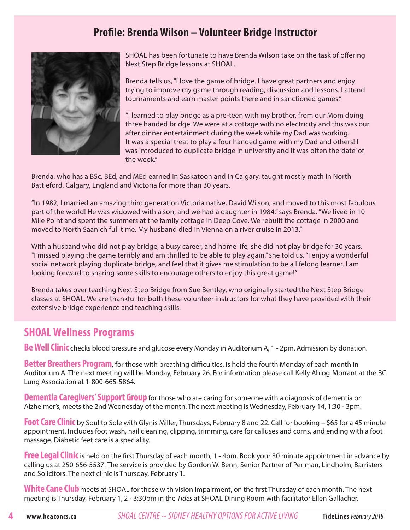## **Profile: Brenda Wilson – Volunteer Bridge Instructor**



SHOAL has been fortunate to have Brenda Wilson take on the task of offering Next Step Bridge lessons at SHOAL.

Brenda tells us, "I love the game of bridge. I have great partners and enjoy trying to improve my game through reading, discussion and lessons. I attend tournaments and earn master points there and in sanctioned games."

"I learned to play bridge as a pre-teen with my brother, from our Mom doing three handed bridge. We were at a cottage with no electricity and this was our after dinner entertainment during the week while my Dad was working. It was a special treat to play a four handed game with my Dad and others! I was introduced to duplicate bridge in university and it was often the 'date' of the week."

Brenda, who has a BSc, BEd, and MEd earned in Saskatoon and in Calgary, taught mostly math in North Battleford, Calgary, England and Victoria for more than 30 years.

"In 1982, I married an amazing third generation Victoria native, David Wilson, and moved to this most fabulous part of the world! He was widowed with a son, and we had a daughter in 1984," says Brenda. "We lived in 10 Mile Point and spent the summers at the family cottage in Deep Cove. We rebuilt the cottage in 2000 and moved to North Saanich full time. My husband died in Vienna on a river cruise in 2013."

With a husband who did not play bridge, a busy career, and home life, she did not play bridge for 30 years. "I missed playing the game terribly and am thrilled to be able to play again," she told us. "I enjoy a wonderful social network playing duplicate bridge, and feel that it gives me stimulation to be a lifelong learner. I am looking forward to sharing some skills to encourage others to enjoy this great game!"

Brenda takes over teaching Next Step Bridge from Sue Bentley, who originally started the Next Step Bridge classes at SHOAL. We are thankful for both these volunteer instructors for what they have provided with their extensive bridge experience and teaching skills.

#### **SHOAL Wellness Programs**

**Be Well Clinic** checks blood pressure and glucose every Monday in Auditorium A, 1 - 2pm. Admission by donation.

**Better Breathers Program**, for those with breathing difficulties, is held the fourth Monday of each month in Auditorium A. The next meeting will be Monday, February 26. For information please call Kelly Ablog-Morrant at the BC Lung Association at 1-800-665-5864.

**Dementia Caregivers' Support Group** for those who are caring for someone with a diagnosis of dementia or Alzheimer's, meets the 2nd Wednesday of the month. The next meeting is Wednesday, February 14, 1:30 - 3pm.

**Foot Care Clinic** by Soul to Sole with Glynis Miller, Thursdays, February 8 and 22. Call for booking – \$65 for a 45 minute appointment. Includes foot wash, nail cleaning, clipping, trimming, care for calluses and corns, and ending with a foot massage. Diabetic feet care is a speciality.

**Free Legal Clinic** is held on the first Thursday of each month, 1 - 4pm. Book your 30 minute appointment in advance by calling us at 250-656-5537. The service is provided by Gordon W. Benn, Senior Partner of Perlman, Lindholm, Barristers and Solicitors. The next clinic is Thursday, February 1.

White Cane Club meets at SHOAL for those with vision impairment, on the first Thursday of each month. The next meeting is Thursday, February 1, 2 - 3:30pm in the *Tides* at SHOAL Dining Room with facilitator Ellen Gallacher.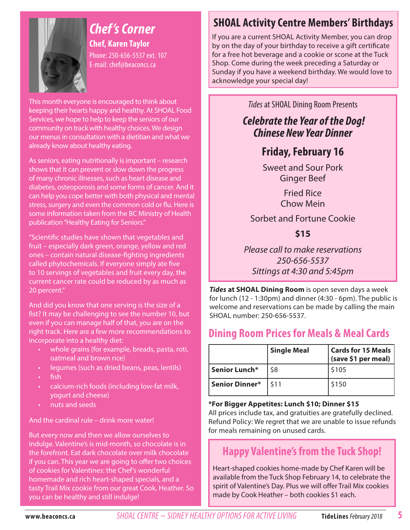

# *Chef 's Corner*

**Chef, Karen Taylor** Phone: 250-656-5537 ext. 107 E-mail: chef@beaconcs.ca

This month everyone is encouraged to think about keeping their hearts happy and healthy. At SHOAL Food Services, we hope to help to keep the seniors of our community on track with healthy choices. We design our menus in consultation with a dietitian and what we already know about healthy eating.

As seniors, eating nutritionally is important – research shows that it can prevent or slow down the progress of many chronic illnesses, such as heart disease and diabetes, osteoporosis and some forms of cancer. And it can help you cope better with both physical and mental stress, surgery and even the common cold or flu. Here is some information taken from the BC Ministry of Health publication "Healthy Eating for Seniors."

"Scientific studies have shown that vegetables and fruit – especially dark green, orange, yellow and red ones – contain natural disease-fighting ingredients called phytochemicals. If everyone simply ate five to 10 servings of vegetables and fruit every day, the current cancer rate could be reduced by as much as 20 percent."

And did you know that one serving is the size of a fist? It may be challenging to see the number 10, but even if you can manage half of that, you are on the right track. Here are a few more recommendations to incorporate into a healthy diet:

- whole grains (for example, breads, pasta, roti, oatmeal and brown rice)
- legumes (such as dried beans, peas, lentils)
- fish
- calcium-rich foods (including low-fat milk, yogurt and cheese)
- nuts and seeds

And the cardinal rule – drink more water!

But every now and then we allow ourselves to indulge. Valentine's is mid-month, so chocolate is in the forefront. Eat dark chocolate over milk chocolate if you can. This year we are going to offer two choices of cookies for Valentines: the Chef's wonderful homemade and rich heart-shaped specials, and a tasty Trail Mix cookie from our great Cook, Heather. So you can be healthy and still indulge!

# **SHOAL Activity Centre Members' Birthdays**

If you are a current SHOAL Activity Member, you can drop by on the day of your birthday to receive a gift certificate for a free hot beverage and a cookie or scone at the Tuck Shop. Come during the week preceding a Saturday or Sunday if you have a weekend birthday. We would love to acknowledge your special day!

*Tides* at SHOAL Dining Room Presents

## *Celebrate the Year of the Dog! Chinese New Year Dinner*

# **Friday, February 16**

Sweet and Sour Pork Ginger Beef

> Fried Rice Chow Mein

Sorbet and Fortune Cookie

**\$15**

Please call to make reservations 250-656-5537 Sittings at 4:30 and 5:45pm

*Tides* **at SHOAL Dining Room** is open seven days a week for lunch (12 - 1:30pm) and dinner (4:30 - 6pm). The public is welcome and reservations can be made by calling the main SHOAL number: 250-656-5537.

## **Dining Room Prices for Meals & Meal Cards**

|                | <b>Single Meal</b> | <b>Cards for 15 Meals</b><br>(save \$1 per meal) |
|----------------|--------------------|--------------------------------------------------|
| Senior Lunch*  | \$8                | \$105                                            |
| Senior Dinner* | I \$11             | \$150                                            |

**\*For Bigger Appetites: Lunch \$10; Dinner \$15**

All prices include tax, and gratuities are gratefully declined. Refund Policy: We regret that we are unable to issue refunds for meals remaining on unused cards.

# **Happy Valentine's from the Tuck Shop!**

Heart-shaped cookies home-made by Chef Karen will be available from the Tuck Shop February 14, to celebrate the spirit of Valentine's Day. Plus we will offer Trail Mix cookies made by Cook Heather – both cookies \$1 each.

**www.beaconcs.ca** *SHOAL CENTRE ~ SIDNEY HEALTHY OPTIONS FOR ACTIVE LIVING* **TideLines** February 2018

**5**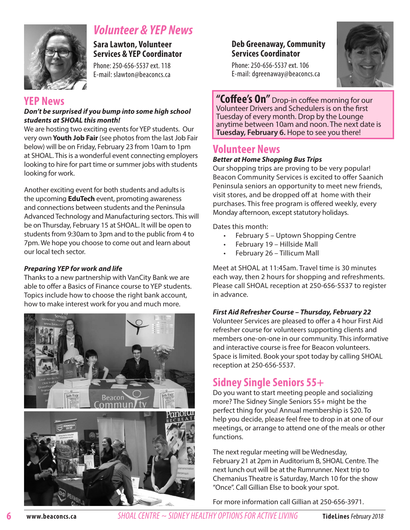

# *Volunteer & YEP News*

**Sara Lawton, Volunteer Services & YEP Coordinator** 

Phone: 250-656-5537 ext. 118 E-mail: slawton@beaconcs.ca

#### **YEP News**

#### *Don't be surprised if you bump into some high school students at SHOAL this month!*

We are hosting two exciting events for YEP students. Our very own **Youth Job Fair** (see photos from the last Job Fair below) will be on Friday, February 23 from 10am to 1pm at SHOAL. This is a wonderful event connecting employers looking to hire for part time or summer jobs with students looking for work.

Another exciting event for both students and adults is the upcoming **EduTech** event, promoting awareness and connections between students and the Peninsula Advanced Technology and Manufacturing sectors. This will be on Thursday, February 15 at SHOAL. It will be open to students from 9:30am to 3pm and to the public from 4 to 7pm. We hope you choose to come out and learn about our local tech sector.

#### *Preparing YEP for work and life*

Thanks to a new partnership with VanCity Bank we are able to offer a Basics of Finance course to YEP students. Topics include how to choose the right bank account, how to make interest work for you and much more.



#### **Deb Greenaway, Community Services Coordinator**

Phone: 250-656-5537 ext. 106 E-mail: dgreenaway@beaconcs.ca



**"Coffee's On"** Drop-in coffee morning for our Volunteer Drivers and Schedulers is on the first Tuesday of every month. Drop by the Lounge anytime between 10am and noon. The next date is **Tuesday, February 6.** Hope to see you there!

## **Volunteer News**

#### *Better at Home Shopping Bus Trips*

Our shopping trips are proving to be very popular! Beacon Community Services is excited to offer Saanich Peninsula seniors an opportunity to meet new friends, visit stores, and be dropped off at home with their purchases. This free program is offered weekly, every Monday afternoon, except statutory holidays.

Dates this month:

- February 5 Uptown Shopping Centre
- February 19 Hillside Mall
- February 26 Tillicum Mall

Meet at SHOAL at 11:45am. Travel time is 30 minutes each way, then 2 hours for shopping and refreshments. Please call SHOAL reception at 250-656-5537 to register in advance.

#### *First Aid Refresher Course – Thursday, February 22*

Volunteer Services are pleased to offer a 4 hour First Aid refresher course for volunteers supporting clients and members one-on-one in our community. This informative and interactive course is free for Beacon volunteers. Space is limited. Book your spot today by calling SHOAL reception at 250-656-5537.

## **Sidney Single Seniors 55+**

Do you want to start meeting people and socializing more? The Sidney Single Seniors 55+ might be the perfect thing for you! Annual membership is \$20. To help you decide, please feel free to drop in at one of our meetings, or arrange to attend one of the meals or other functions.

The next regular meeting will be Wednesday, February 21 at 2pm in Auditorium B, SHOAL Centre. The next lunch out will be at the Rumrunner. Next trip to Chemanius Theatre is Saturday, March 10 for the show "Once". Call Gillian Else to book your spot.

For more information call Gillian at 250-656-3971.

**6**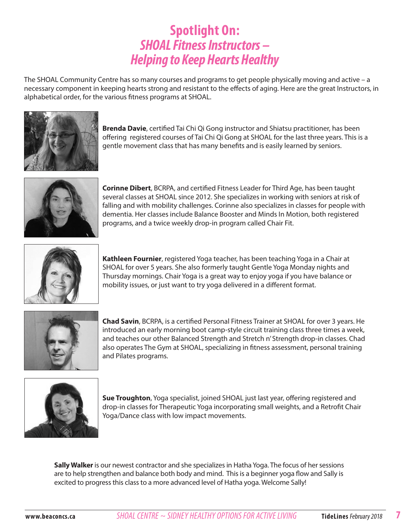# **Spotlight On:** *SHOAL Fitness Instructors – Helping to Keep Hearts Healthy*

The SHOAL Community Centre has so many courses and programs to get people physically moving and active – a necessary component in keeping hearts strong and resistant to the effects of aging. Here are the great Instructors, in alphabetical order, for the various fitness programs at SHOAL.



**Brenda Davie**, certified Tai Chi Qi Gong instructor and Shiatsu practitioner, has been offering registered courses of Tai Chi Qi Gong at SHOAL for the last three years. This is a gentle movement class that has many benefits and is easily learned by seniors.



**Corinne Dibert**, BCRPA, and certified Fitness Leader for Third Age, has been taught several classes at SHOAL since 2012. She specializes in working with seniors at risk of falling and with mobility challenges. Corinne also specializes in classes for people with dementia. Her classes include Balance Booster and Minds In Motion, both registered programs, and a twice weekly drop-in program called Chair Fit.



**Kathleen Fournier**, registered Yoga teacher, has been teaching Yoga in a Chair at SHOAL for over 5 years. She also formerly taught Gentle Yoga Monday nights and Thursday mornings. Chair Yoga is a great way to enjoy yoga if you have balance or mobility issues, or just want to try yoga delivered in a different format.



**Chad Savin**, BCRPA, is a certified Personal Fitness Trainer at SHOAL for over 3 years. He introduced an early morning boot camp-style circuit training class three times a week, and teaches our other Balanced Strength and Stretch n' Strength drop-in classes. Chad also operates The Gym at SHOAL, specializing in fitness assessment, personal training and Pilates programs.



**Sue Troughton**, Yoga specialist, joined SHOAL just last year, offering registered and drop-in classes for Therapeutic Yoga incorporating small weights, and a Retrofit Chair Yoga/Dance class with low impact movements.

**Sally Walker** is our newest contractor and she specializes in Hatha Yoga. The focus of her sessions are to help strengthen and balance both body and mind. This is a beginner yoga flow and Sally is excited to progress this class to a more advanced level of Hatha yoga. Welcome Sally!